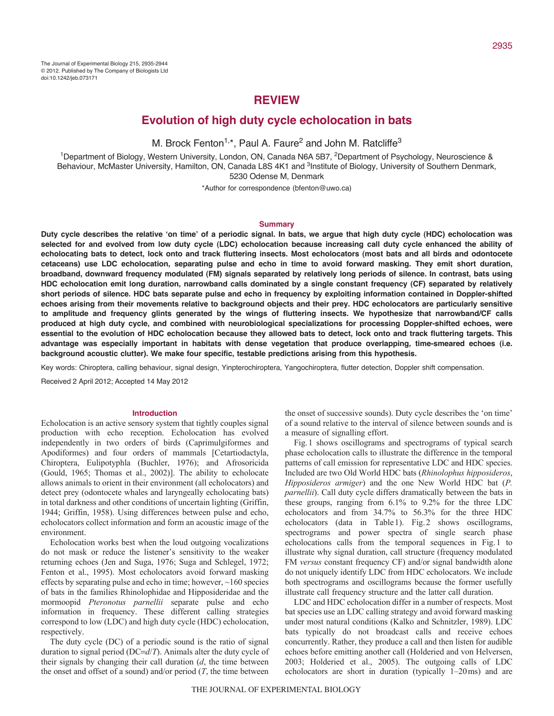# **Evolution of high duty cycle echolocation in bats**

M. Brock Fenton<sup>1,\*</sup>, Paul A. Faure<sup>2</sup> and John M. Ratcliffe<sup>3</sup>

<sup>1</sup>Department of Biology, Western University, London, ON, Canada N6A 5B7, <sup>2</sup>Department of Psychology, Neuroscience & Behaviour, McMaster University, Hamilton, ON, Canada L8S 4K1 and <sup>3</sup>Institute of Biology, University of Southern Denmark, 5230 Odense M, Denmark

\*Author for correspondence (bfenton@uwo.ca)

#### **Summary**

**Duty cycle describes the relative ʻon time' of a periodic signal. In bats, we argue that high duty cycle (HDC) echolocation was selected for and evolved from low duty cycle (LDC) echolocation because increasing call duty cycle enhanced the ability of echolocating bats to detect, lock onto and track fluttering insects. Most echolocators (most bats and all birds and odontocete cetaceans) use LDC echolocation, separating pulse and echo in time to avoid forward masking. They emit short duration, broadband, downward frequency modulated (FM) signals separated by relatively long periods of silence. In contrast, bats using HDC echolocation emit long duration, narrowband calls dominated by a single constant frequency (CF) separated by relatively short periods of silence. HDC bats separate pulse and echo in frequency by exploiting information contained in Doppler-shifted echoes arising from their movements relative to background objects and their prey. HDC echolocators are particularly sensitive to amplitude and frequency glints generated by the wings of fluttering insects. We hypothesize that narrowband/CF calls produced at high duty cycle, and combined with neurobiological specializations for processing Doppler-shifted echoes, were essential to the evolution of HDC echolocation because they allowed bats to detect, lock onto and track fluttering targets. This advantage was especially important in habitats with dense vegetation that produce overlapping, time-smeared echoes (i.e. background acoustic clutter). We make four specific, testable predictions arising from this hypothesis.**

Key words: Chiroptera, calling behaviour, signal design, Yinpterochiroptera, Yangochiroptera, flutter detection, Doppler shift compensation.

Received 2 April 2012; Accepted 14 May 2012

#### **Introduction**

Echolocation is an active sensory system that tightly couples signal production with echo reception. Echolocation has evolved independently in two orders of birds (Caprimulgiformes and Apodiformes) and four orders of mammals [Cetartiodactyla, Chiroptera, Eulipotyphla (Buchler, 1976); and Afrosoricida (Gould, 1965; Thomas et al., 2002)]. The ability to echolocate allows animals to orient in their environment (all echolocators) and detect prey (odontocete whales and laryngeally echolocating bats) in total darkness and other conditions of uncertain lighting (Griffin, 1944; Griffin, 1958). Using differences between pulse and echo, echolocators collect information and form an acoustic image of the environment.

Echolocation works best when the loud outgoing vocalizations do not mask or reduce the listener's sensitivity to the weaker returning echoes (Jen and Suga, 1976; Suga and Schlegel, 1972; Fenton et al., 1995). Most echolocators avoid forward masking effects by separating pulse and echo in time; however,  $\sim$ 160 species of bats in the families Rhinolophidae and Hipposideridae and the mormoopid *Pteronotus parnellii* separate pulse and echo information in frequency. These different calling strategies correspond to low (LDC) and high duty cycle (HDC) echolocation, respectively.

The duty cycle (DC) of a periodic sound is the ratio of signal duration to signal period ( $DC = d/T$ ). Animals alter the duty cycle of their signals by changing their call duration (*d*, the time between the onset and offset of a sound) and/or period  $(T,$  the time between

the onset of successive sounds). Duty cycle describes the 'on time' of a sound relative to the interval of silence between sounds and is a measure of signalling effort.

Fig.1 shows oscillograms and spectrograms of typical search phase echolocation calls to illustrate the difference in the temporal patterns of call emission for representative LDC and HDC species. Included are two Old World HDC bats (*Rhinolophus hipposideros*, *Hipposideros armiger*) and the one New World HDC bat (*P. parnellii*). Call duty cycle differs dramatically between the bats in these groups, ranging from 6.1% to 9.2% for the three LDC echolocators and from 34.7% to 56.3% for the three HDC echolocators (data in Table1). Fig.2 shows oscillograms, spectrograms and power spectra of single search phase echolocations calls from the temporal sequences in Fig.1 to illustrate why signal duration, call structure (frequency modulated FM *versus* constant frequency CF) and/or signal bandwidth alone do not uniquely identify LDC from HDC echolocators. We include both spectrograms and oscillograms because the former usefully illustrate call frequency structure and the latter call duration.

LDC and HDC echolocation differ in a number of respects. Most bat species use an LDC calling strategy and avoid forward masking under most natural conditions (Kalko and Schnitzler, 1989). LDC bats typically do not broadcast calls and receive echoes concurrently. Rather, they produce a call and then listen for audible echoes before emitting another call (Holderied and von Helversen, 2003; Holderied et al., 2005). The outgoing calls of LDC echolocators are short in duration (typically 1–20ms) and are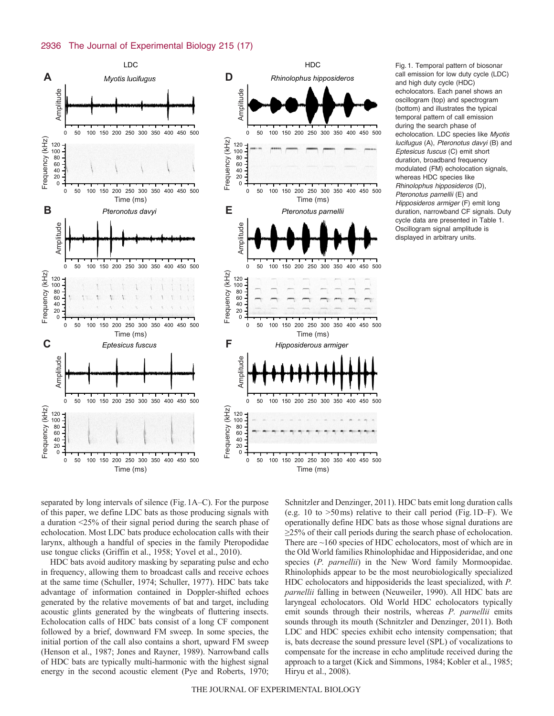

Fig. 1. Temporal pattern of biosonar call emission for low duty cycle (LDC) and high duty cycle (HDC) echolocators. Each panel shows an oscillogram (top) and spectrogram (bottom) and illustrates the typical temporal pattern of call emission during the search phase of echolocation. LDC species like *Myotis lucifugus* (A), *Pteronotus davyi* (B) and *Eptesicus fuscus* (C) emit short duration, broadband frequency modulated (FM) echolocation signals, whereas HDC species like *Rhinolophus hipposideros* (D), *Pteronotus parnellii* (E) and *Hipposideros armiger* (F) emit long duration, narrowband CF signals. Duty cycle data are presented in Table 1. Oscillogram signal amplitude is displayed in arbitrary units.

separated by long intervals of silence (Fig.1A–C). For the purpose of this paper, we define LDC bats as those producing signals with a duration <25% of their signal period during the search phase of echolocation. Most LDC bats produce echolocation calls with their larynx, although a handful of species in the family Pteropodidae use tongue clicks (Griffin et al., 1958; Yovel et al., 2010).

HDC bats avoid auditory masking by separating pulse and echo in frequency, allowing them to broadcast calls and receive echoes at the same time (Schuller, 1974; Schuller, 1977). HDC bats take advantage of information contained in Doppler-shifted echoes generated by the relative movements of bat and target, including acoustic glints generated by the wingbeats of fluttering insects. Echolocation calls of HDC bats consist of a long CF component followed by a brief, downward FM sweep. In some species, the initial portion of the call also contains a short, upward FM sweep (Henson et al., 1987; Jones and Rayner, 1989). Narrowband calls of HDC bats are typically multi-harmonic with the highest signal energy in the second acoustic element (Pye and Roberts, 1970; Schnitzler and Denzinger, 2011). HDC bats emit long duration calls (e.g. 10 to >50ms) relative to their call period (Fig.1D–F). We operationally define HDC bats as those whose signal durations are ≥25% of their call periods during the search phase of echolocation. There are ~160 species of HDC echolocators, most of which are in the Old World families Rhinolophidae and Hipposideridae, and one species (*P. parnellii*) in the New Word family Mormoopidae. Rhinolophids appear to be the most neurobiologically specialized HDC echolocators and hipposiderids the least specialized, with *P. parnellii* falling in between (Neuweiler, 1990). All HDC bats are laryngeal echolocators. Old World HDC echolocators typically emit sounds through their nostrils, whereas *P. parnellii* emits sounds through its mouth (Schnitzler and Denzinger, 2011). Both LDC and HDC species exhibit echo intensity compensation; that is, bats decrease the sound pressure level (SPL) of vocalizations to compensate for the increase in echo amplitude received during the approach to a target (Kick and Simmons, 1984; Kobler et al., 1985; Hiryu et al., 2008).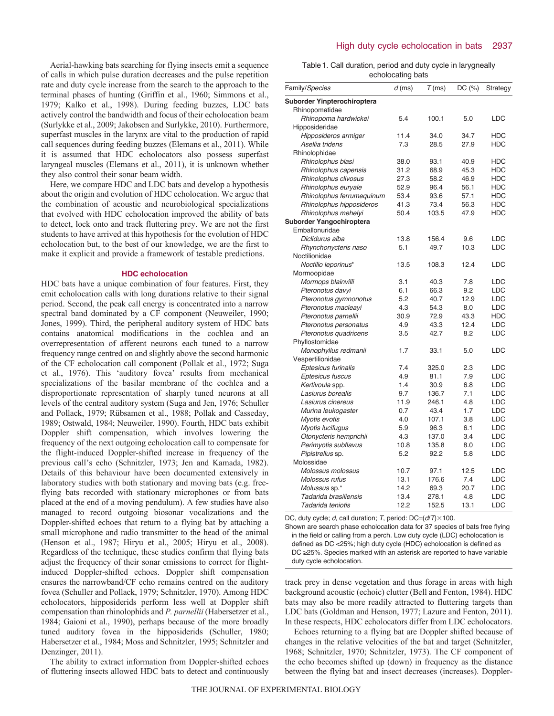Aerial-hawking bats searching for flying insects emit a sequence of calls in which pulse duration decreases and the pulse repetition rate and duty cycle increase from the search to the approach to the terminal phases of hunting (Griffin et al., 1960; Simmons et al., 1979; Kalko et al., 1998). During feeding buzzes, LDC bats actively control the bandwidth and focus of their echolocation beam (Surlykke et al., 2009; Jakobsen and Surlykke, 2010). Furthermore, superfast muscles in the larynx are vital to the production of rapid call sequences during feeding buzzes (Elemans et al., 2011). While it is assumed that HDC echolocators also possess superfast laryngeal muscles (Elemans et al., 2011), it is unknown whether they also control their sonar beam width.

Here, we compare HDC and LDC bats and develop a hypothesis about the origin and evolution of HDC echolocation. We argue that the combination of acoustic and neurobiological specializations that evolved with HDC echolocation improved the ability of bats to detect, lock onto and track fluttering prey. We are not the first students to have arrived at this hypothesis for the evolution of HDC echolocation but, to the best of our knowledge, we are the first to make it explicit and provide a framework of testable predictions.

#### **HDC echolocation**

HDC bats have a unique combination of four features. First, they emit echolocation calls with long durations relative to their signal period. Second, the peak call energy is concentrated into a narrow spectral band dominated by a CF component (Neuweiler, 1990; Jones, 1999). Third, the peripheral auditory system of HDC bats contains anatomical modifications in the cochlea and an overrepresentation of afferent neurons each tuned to a narrow frequency range centred on and slightly above the second harmonic of the CF echolocation call component (Pollak et al., 1972; Suga et al., 1976). This 'auditory fovea' results from mechanical specializations of the basilar membrane of the cochlea and a disproportionate representation of sharply tuned neurons at all levels of the central auditory system (Suga and Jen, 1976; Schuller and Pollack, 1979; Rübsamen et al., 1988; Pollak and Casseday, 1989; Ostwald, 1984; Neuweiler, 1990). Fourth, HDC bats exhibit Doppler shift compensation, which involves lowering the frequency of the next outgoing echolocation call to compensate for the flight-induced Doppler-shifted increase in frequency of the previous call's echo (Schnitzler, 1973; Jen and Kamada, 1982). Details of this behaviour have been documented extensively in laboratory studies with both stationary and moving bats (e.g. freeflying bats recorded with stationary microphones or from bats placed at the end of a moving pendulum). A few studies have also managed to record outgoing biosonar vocalizations and the Doppler-shifted echoes that return to a flying bat by attaching a small microphone and radio transmitter to the head of the animal (Henson et al., 1987; Hiryu et al., 2005; Hiryu et al., 2008). Regardless of the technique, these studies confirm that flying bats adjust the frequency of their sonar emissions to correct for flightinduced Doppler-shifted echoes. Doppler shift compensation ensures the narrowband/CF echo remains centred on the auditory fovea (Schuller and Pollack, 1979; Schnitzler, 1970). Among HDC echolocators, hipposiderids perform less well at Doppler shift compensation than rhinolophids and *P. parnellii* (Habersetzer et al., 1984; Gaioni et al., 1990), perhaps because of the more broadly tuned auditory fovea in the hipposiderids (Schuller, 1980; Habersetzer et al., 1984; Moss and Schnitzler, 1995; Schnitzler and Denzinger, 2011).

The ability to extract information from Doppler-shifted echoes of fluttering insects allowed HDC bats to detect and continuously

| Table 1. Call duration, period and duty cycle in larygneally |                   |  |  |
|--------------------------------------------------------------|-------------------|--|--|
|                                                              | echolocating bats |  |  |

| Family/ <i>Species</i>      | $d$ (ms) | $T$ (ms) | DC (%) | Strategy   |
|-----------------------------|----------|----------|--------|------------|
| Suborder Yinpterochiroptera |          |          |        |            |
| Rhinopomatidae              |          |          |        |            |
| Rhinopoma hardwickei        | 5.4      | 100.1    | 5.0    | <b>LDC</b> |
| Hipposideridae              |          |          |        |            |
| Hipposideros armiger        | 11.4     | 34.0     | 34.7   | HDC        |
| Asellia tridens             | 7.3      | 28.5     | 27.9   | <b>HDC</b> |
| Rhinolophidae               |          |          |        |            |
| Rhinolophus blasi           | 38.0     | 93.1     | 40.9   | <b>HDC</b> |
| Rhinolophus capensis        | 31.2     | 68.9     | 45.3   | HDC        |
| Rhinolophus clivosus        | 27.3     | 58.2     | 46.9   | <b>HDC</b> |
| Rhinolophus euryale         | 52.9     | 96.4     | 56.1   | HDC        |
| Rhinolophus ferrumequinum   | 53.4     | 93.6     | 57.1   | HDC        |
| Rhinolophus hipposideros    | 41.3     | 73.4     | 56.3   | <b>HDC</b> |
| Rhinolophus mehelyi         | 50.4     | 103.5    | 47.9   | HDC        |
| Suborder Yangochiroptera    |          |          |        |            |
| Emballonuridae              |          |          |        |            |
| Diclidurus alba             | 13.8     | 156.4    | 9.6    | LDC        |
| Rhynchonycteris naso        | 5.1      | 49.7     | 10.3   | <b>LDC</b> |
| Noctilionidae               |          |          |        |            |
| Noctilio leporinus*         | 13.5     | 108.3    | 12.4   | <b>LDC</b> |
| Mormoopidae                 |          |          |        |            |
| Mormops blainvilli          | 3.1      | 40.3     | 7.8    | <b>LDC</b> |
| Pteronotus davyi            | 6.1      | 66.3     | 9.2    | LDC        |
| Pteronotus gymnonotus       | 5.2      | 40.7     | 12.9   | LDC        |
| Pteronotus macleayi         | 4.3      | 54.3     | 8.0    | <b>LDC</b> |
| Pteronotus parnellii        | 30.9     | 72.9     | 43.3   | HDC        |
| Pteronotus personatus       | 4.9      | 43.3     | 12.4   | <b>LDC</b> |
| Pteronotus quadricens       | 3.5      | 42.7     | 8.2    | <b>LDC</b> |
| Phyllostomidae              |          |          |        |            |
| Monophyllus redmanii        | 1.7      | 33.1     | 5.0    | <b>LDC</b> |
| Vespertilionidae            |          |          |        |            |
| Eptesicus furinalis         | 7.4      | 325.0    | 2.3    | LDC        |
| Eptesicus fuscus            | 4.9      | 81.1     | 7.9    | <b>LDC</b> |
| Kertivoula spp.             | 1.4      | 30.9     | 6.8    | <b>LDC</b> |
| Lasiurus borealis           | 9.7      | 136.7    | 7.1    | <b>LDC</b> |
| Lasiurus cinereus           | 11.9     | 246.1    | 4.8    | <b>LDC</b> |
| Murina leukogaster          | 0.7      | 43.4     | 1.7    | LDC        |
| Myotis evotis               | 4.0      | 107.1    | 3.8    | <b>LDC</b> |
| Myotis lucifugus            | 5.9      | 96.3     | 6.1    | <b>LDC</b> |
| Otonycteris hemprichii      | 4.3      | 137.0    | 3.4    | <b>LDC</b> |
| Perimyotis subflavus        | 10.8     | 135.8    | 8.0    | <b>LDC</b> |
| Pipistrellus sp.            | 5.2      | 92.2     | 5.8    | LDC        |
| Molossidae                  |          |          |        |            |
| Molossus molossus           | 10.7     | 97.1     | 12.5   | LDC        |
| <b>Molossus rufus</b>       | 13.1     | 176.6    | 7.4    | <b>LDC</b> |
| Molussus sp.*               | 14.2     | 69.3     | 20.7   | LDC        |
| Tadarida brasiliensis       | 13.4     | 278.1    | 4.8    | <b>LDC</b> |
| Tadarida teniotis           | 12.2     | 152.5    | 13.1   | LDC        |

DC, duty cycle;  $d$ , call duration; *T*, period:  $DC=(d/T)\times 100$ .

Shown are search phase echolocation data for 37 species of bats free flying in the field or calling from a perch. Low duty cycle (LDC) echolocation is defined as DC <25%; high duty cycle (HDC) echolocation is defined as DC ≥25%. Species marked with an asterisk are reported to have variable duty cycle echolocation.

track prey in dense vegetation and thus forage in areas with high background acoustic (echoic) clutter (Bell and Fenton, 1984). HDC bats may also be more readily attracted to fluttering targets than LDC bats (Goldman and Henson, 1977; Lazure and Fenton, 2011). In these respects, HDC echolocators differ from LDC echolocators.

Echoes returning to a flying bat are Doppler shifted because of changes in the relative velocities of the bat and target (Schnitzler, 1968; Schnitzler, 1970; Schnitzler, 1973). The CF component of the echo becomes shifted up (down) in frequency as the distance between the flying bat and insect decreases (increases). Doppler-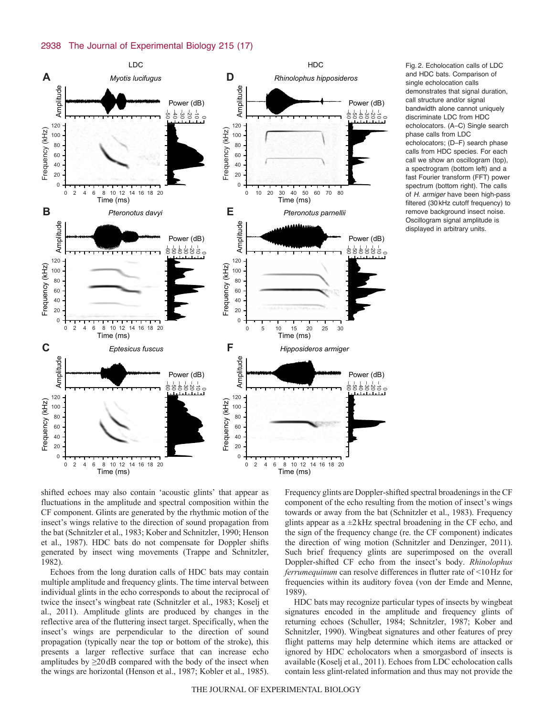

Fig. 2. Echolocation calls of LDC and HDC bats. Comparison of single echolocation calls demonstrates that signal duration, call structure and/or signal bandwidth alone cannot uniquely discriminate LDC from HDC echolocators. (A–C) Single search phase calls from LDC echolocators; (D–F) search phase calls from HDC species. For each call we show an oscillogram (top), a spectrogram (bottom left) and a fast Fourier transform (FFT) power spectrum (bottom right). The calls of *H. armiger* have been high-pass filtered (30 kHz cutoff frequency) to remove background insect noise. Oscillogram signal amplitude is displayed in arbitrary units.

shifted echoes may also contain 'acoustic glints' that appear as fluctuations in the amplitude and spectral composition within the CF component. Glints are generated by the rhythmic motion of the insect's wings relative to the direction of sound propagation from the bat (Schnitzler et al., 1983; Kober and Schnitzler, 1990; Henson et al., 1987). HDC bats do not compensate for Doppler shifts generated by insect wing movements (Trappe and Schnitzler, 1982).

Echoes from the long duration calls of HDC bats may contain multiple amplitude and frequency glints. The time interval between individual glints in the echo corresponds to about the reciprocal of twice the insect's wingbeat rate (Schnitzler et al., 1983; Koselj et al., 2011). Amplitude glints are produced by changes in the reflective area of the fluttering insect target. Specifically, when the insect's wings are perpendicular to the direction of sound propagation (typically near the top or bottom of the stroke), this presents a larger reflective surface that can increase echo amplitudes by  $\geq$ 20dB compared with the body of the insect when the wings are horizontal (Henson et al., 1987; Kobler et al., 1985). Frequency glints are Doppler-shifted spectral broadenings in the CF component of the echo resulting from the motion of insect's wings towards or away from the bat (Schnitzler et al., 1983). Frequency glints appear as a  $\pm 2$  kHz spectral broadening in the CF echo, and the sign of the frequency change (re. the CF component) indicates the direction of wing motion (Schnitzler and Denzinger, 2011). Such brief frequency glints are superimposed on the overall Doppler-shifted CF echo from the insect's body. *Rhinolophus ferrumequinum* can resolve differences in flutter rate of <10Hz for frequencies within its auditory fovea (von der Emde and Menne, 1989).

HDC bats may recognize particular types of insects by wingbeat signatures encoded in the amplitude and frequency glints of returning echoes (Schuller, 1984; Schnitzler, 1987; Kober and Schnitzler, 1990). Wingbeat signatures and other features of prey flight patterns may help determine which items are attacked or ignored by HDC echolocators when a smorgasbord of insects is available (Koselj et al., 2011). Echoes from LDC echolocation calls contain less glint-related information and thus may not provide the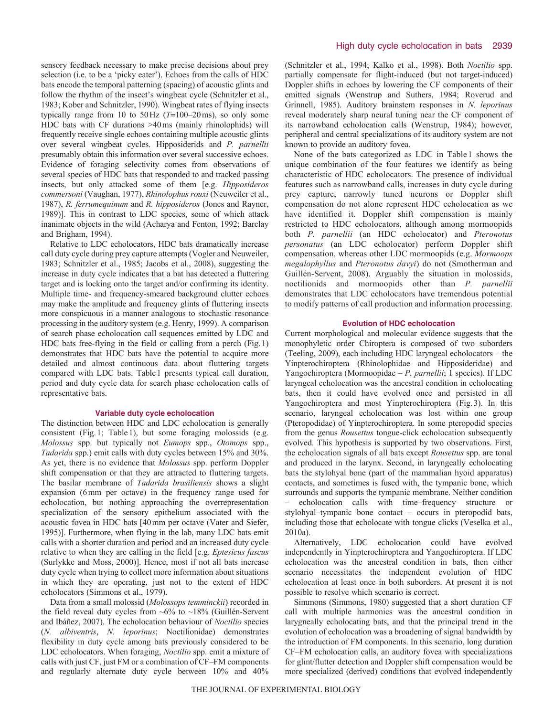sensory feedback necessary to make precise decisions about prey selection (i.e. to be a 'picky eater'). Echoes from the calls of HDC bats encode the temporal patterning (spacing) of acoustic glints and follow the rhythm of the insect's wingbeat cycle (Schnitzler et al., 1983; Kober and Schnitzler, 1990). Wingbeat rates of flying insects typically range from 10 to  $50$  Hz  $(T=100-20)$  ms), so only some HDC bats with CF durations >40ms (mainly rhinolophids) will frequently receive single echoes containing multiple acoustic glints over several wingbeat cycles. Hipposiderids and *P. parnellii* presumably obtain this information over several successive echoes. Evidence of foraging selectivity comes from observations of several species of HDC bats that responded to and tracked passing insects, but only attacked some of them [e.g. *Hipposideros commersoni* (Vaughan, 1977), *Rhinolophus rouxi* (Neuweiler et al., 1987), *R. ferrumequinum* and *R. hipposideros* (Jones and Rayner, 1989)]. This in contrast to LDC species, some of which attack inanimate objects in the wild (Acharya and Fenton, 1992; Barclay and Brigham, 1994).

Relative to LDC echolocators, HDC bats dramatically increase call duty cycle during prey capture attempts (Vogler and Neuweiler, 1983; Schnitzler et al., 1985; Jacobs et al., 2008), suggesting the increase in duty cycle indicates that a bat has detected a fluttering target and is locking onto the target and/or confirming its identity. Multiple time- and frequency-smeared background clutter echoes may make the amplitude and frequency glints of fluttering insects more conspicuous in a manner analogous to stochastic resonance processing in the auditory system (e.g. Henry, 1999). A comparison of search phase echolocation call sequences emitted by LDC and HDC bats free-flying in the field or calling from a perch (Fig.1) demonstrates that HDC bats have the potential to acquire more detailed and almost continuous data about fluttering targets compared with LDC bats. Table1 presents typical call duration, period and duty cycle data for search phase echolocation calls of representative bats.

#### **Variable duty cycle echolocation**

The distinction between HDC and LDC echolocation is generally consistent (Fig.1; Table1), but some foraging molossids (e.g. *Molossus* spp. but typically not *Eumops* spp., *Otomops* spp., *Tadarida* spp.) emit calls with duty cycles between 15% and 30%. As yet, there is no evidence that *Molossus* spp. perform Doppler shift compensation or that they are attracted to fluttering targets. The basilar membrane of *Tadarida brasiliensis* shows a slight expansion (6mm per octave) in the frequency range used for echolocation, but nothing approaching the overrepresentation specialization of the sensory epithelium associated with the acoustic fovea in HDC bats [40mm per octave (Vater and Siefer, 1995)]. Furthermore, when flying in the lab, many LDC bats emit calls with a shorter duration and period and an increased duty cycle relative to when they are calling in the field [e.g. *Eptesicus fuscus* (Surlykke and Moss, 2000)]. Hence, most if not all bats increase duty cycle when trying to collect more information about situations in which they are operating, just not to the extent of HDC echolocators (Simmons et al., 1979).

Data from a small molossid (*Molossops temminckii*) recorded in the field reveal duty cycles from  $~6\%$  to  $~18\%$  (Guillén-Servent and Ibáñez, 2007). The echolocation behaviour of *Noctilio* species (*N. albiventris*, *N. leporinus*; Noctilionidae) demonstrates flexibility in duty cycle among bats previously considered to be LDC echolocators. When foraging, *Noctilio* spp. emit a mixture of calls with just CF, just FM or a combination of CF–FM components and regularly alternate duty cycle between 10% and 40%

(Schnitzler et al., 1994; Kalko et al., 1998). Both *Noctilio* spp. partially compensate for flight-induced (but not target-induced) Doppler shifts in echoes by lowering the CF components of their emitted signals (Wenstrup and Suthers, 1984; Roverud and Grinnell, 1985). Auditory brainstem responses in *N. leporinus* reveal moderately sharp neural tuning near the CF component of its narrowband echolocation calls (Wenstrup, 1984); however, peripheral and central specializations of its auditory system are not known to provide an auditory fovea.

None of the bats categorized as LDC in Table 1 shows the unique combination of the four features we identify as being characteristic of HDC echolocators. The presence of individual features such as narrowband calls, increases in duty cycle during prey capture, narrowly tuned neurons or Doppler shift compensation do not alone represent HDC echolocation as we have identified it. Doppler shift compensation is mainly restricted to HDC echolocators, although among mormoopids both *P. parnellii* (an HDC echolocator) and *Pteronotus personatus* (an LDC echolocator) perform Doppler shift compensation, whereas other LDC mormoopids (e.g. *Mormoops megalophyllus* and *Pteronotus davyi*) do not (Smotherman and Guillén-Servent, 2008). Arguably the situation in molossids, noctilionids and mormoopids other than *P. parnellii* demonstrates that LDC echolocators have tremendous potential to modify patterns of call production and information processing.

### **Evolution of HDC echolocation**

Current morphological and molecular evidence suggests that the monophyletic order Chiroptera is composed of two suborders (Teeling, 2009), each including HDC laryngeal echolocators – the Yinpterochiroptera (Rhinolophidae and Hipposideridae) and Yangochiroptera (Mormoopidae – *P. parnellii*; 1 species). If LDC laryngeal echolocation was the ancestral condition in echolocating bats, then it could have evolved once and persisted in all Yangochiroptera and most Yinpterochiroptera (Fig.3). In this scenario, laryngeal echolocation was lost within one group (Pteropodidae) of Yinpterochiroptera. In some pteropodid species from the genus *Rousettus* tongue-click echolocation subsequently evolved. This hypothesis is supported by two observations. First, the echolocation signals of all bats except *Rousettus* spp. are tonal and produced in the larynx. Second, in laryngeally echolocating bats the stylohyal bone (part of the mammalian hyoid apparatus) contacts, and sometimes is fused with, the tympanic bone, which surrounds and supports the tympanic membrane. Neither condition – echolocation calls with time–frequency structure or stylohyal–tympanic bone contact – occurs in pteropodid bats, including those that echolocate with tongue clicks (Veselka et al., 2010a).

Alternatively, LDC echolocation could have evolved independently in Yinpterochiroptera and Yangochiroptera. If LDC echolocation was the ancestral condition in bats, then either scenario necessitates the independent evolution of HDC echolocation at least once in both suborders. At present it is not possible to resolve which scenario is correct.

Simmons (Simmons, 1980) suggested that a short duration CF call with multiple harmonics was the ancestral condition in larygneally echolocating bats, and that the principal trend in the evolution of echolocation was a broadening of signal bandwidth by the introduction of FM components. In this scenario, long duration CF–FM echolocation calls, an auditory fovea with specializations for glint/flutter detection and Doppler shift compensation would be more specialized (derived) conditions that evolved independently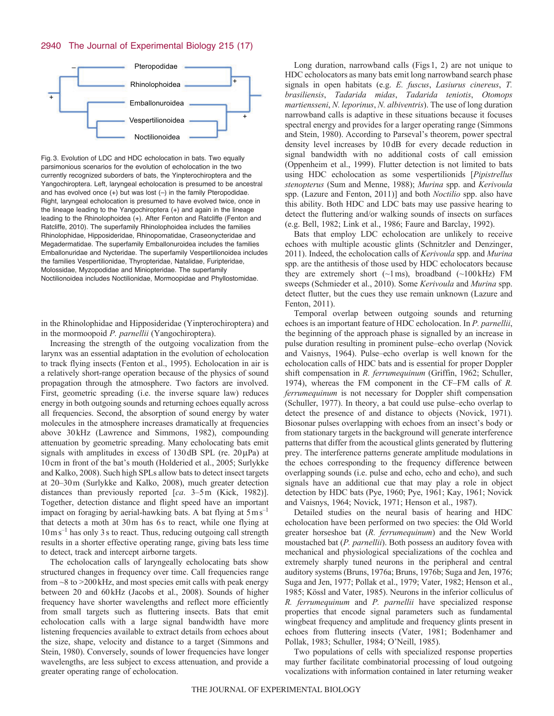

Fig. 3. Evolution of LDC and HDC echolocation in bats. Two equally parsimonious scenarios for the evolution of echolocation in the two currently recognized suborders of bats, the Yinpterochiroptera and the Yangochiroptera. Left, laryngeal echolocation is presumed to be ancestral and has evolved once (+) but was lost (–) in the family Pteropodidae. Right, laryngeal echolocation is presumed to have evolved twice, once in the lineage leading to the Yangochiroptera (+) and again in the lineage leading to the Rhinolophoidea (+). After Fenton and Ratcliffe (Fenton and Ratcliffe, 2010). The superfamily Rhinolophoidea includes the families Rhinolophidae, Hipposideridae, Rhinopomatidae, Craseonycteridae and Megadermatidae. The superfamily Emballonuroidea includes the families Emballonuridae and Nycteridae. The superfamily Vespertilionoidea includes the families Vespertilionidae, Thyropteridae, Natalidae, Furipteridae, Molossidae, Myzopodidae and Miniopteridae. The superfamily Noctilionoidea includes Noctilionidae, Mormoopidae and Phyllostomidae.

in the Rhinolophidae and Hipposideridae (Yinpterochiroptera) and in the mormoopoid *P. parnellii* (Yangochiroptera).

Increasing the strength of the outgoing vocalization from the larynx was an essential adaptation in the evolution of echolocation to track flying insects (Fenton et al., 1995). Echolocation in air is a relatively short-range operation because of the physics of sound propagation through the atmosphere. Two factors are involved. First, geometric spreading (i.e. the inverse square law) reduces energy in both outgoing sounds and returning echoes equally across all frequencies. Second, the absorption of sound energy by water molecules in the atmosphere increases dramatically at frequencies above 30kHz (Lawrence and Simmons, 1982), compounding attenuation by geometric spreading. Many echolocating bats emit signals with amplitudes in excess of  $130$ dB SPL (re.  $20 \mu Pa$ ) at 10cm in front of the bat's mouth (Holderied et al., 2005; Surlykke and Kalko, 2008). Such high SPLs allow bats to detect insect targets at 20–30m (Surlykke and Kalko, 2008), much greater detection distances than previously reported [*ca*. 3–5m (Kick, 1982)]. Together, detection distance and flight speed have an important impact on foraging by aerial-hawking bats. A bat flying at  $5 \text{ m s}^{-1}$ that detects a moth at 30m has 6s to react, while one flying at  $10 \text{ m s}^{-1}$  has only 3s to react. Thus, reducing outgoing call strength results in a shorter effective operating range, giving bats less time to detect, track and intercept airborne targets.

The echolocation calls of laryngeally echolocating bats show structured changes in frequency over time. Call frequencies range from  $\sim$ 8 to  $>$  200 kHz, and most species emit calls with peak energy between 20 and 60kHz (Jacobs et al., 2008). Sounds of higher frequency have shorter wavelengths and reflect more efficiently from small targets such as fluttering insects. Bats that emit echolocation calls with a large signal bandwidth have more listening frequencies available to extract details from echoes about the size, shape, velocity and distance to a target (Simmons and Stein, 1980). Conversely, sounds of lower frequencies have longer wavelengths, are less subject to excess attenuation, and provide a greater operating range of echolocation.

Long duration, narrowband calls (Figs1, 2) are not unique to HDC echolocators as many bats emit long narrowband search phase signals in open habitats (e.g. *E. fuscus*, *Lasiurus cinereus*, *T. brasiliensis*, *Tadarida midas*, *Tadarida teniotis*, *Otomops martiensseni*, *N. leporinus*, *N. albiventris*). The use of long duration narrowband calls is adaptive in these situations because it focuses spectral energy and provides for a larger operating range (Simmons and Stein, 1980). According to Parseval's theorem, power spectral density level increases by 10dB for every decade reduction in signal bandwidth with no additional costs of call emission (Oppenheim et al., 1999). Flutter detection is not limited to bats using HDC echolocation as some vespertilionids [*Pipistrellus stenopterus* (Sum and Menne, 1988); *Murina* spp. and *Kerivoula* spp. (Lazure and Fenton, 2011)] and both *Noctilio* spp. also have this ability. Both HDC and LDC bats may use passive hearing to detect the fluttering and/or walking sounds of insects on surfaces (e.g. Bell, 1982; Link et al., 1986; Faure and Barclay, 1992).

Bats that employ LDC echolocation are unlikely to receive echoes with multiple acoustic glints (Schnitzler and Denzinger, 2011). Indeed, the echolocation calls of *Kerivoula* spp. and *Murina* spp. are the antithesis of those used by HDC echolocators because they are extremely short  $(\sim 1 \text{ ms})$ , broadband  $(\sim 100 \text{ kHz})$  FM sweeps (Schmieder et al., 2010). Some *Kerivoula* and *Murina* spp. detect flutter, but the cues they use remain unknown (Lazure and Fenton, 2011).

Temporal overlap between outgoing sounds and returning echoes is an important feature of HDC echolocation. In *P. parnellii*, the beginning of the approach phase is signalled by an increase in pulse duration resulting in prominent pulse–echo overlap (Novick and Vaisnys, 1964). Pulse–echo overlap is well known for the echolocation calls of HDC bats and is essential for proper Doppler shift compensation in *R. ferrumequinum* (Griffin, 1962; Schuller, 1974), whereas the FM component in the CF–FM calls of *R. ferrumequinum* is not necessary for Doppler shift compensation (Schuller, 1977). In theory, a bat could use pulse–echo overlap to detect the presence of and distance to objects (Novick, 1971). Biosonar pulses overlapping with echoes from an insect's body or from stationary targets in the background will generate interference patterns that differ from the acoustical glints generated by fluttering prey. The interference patterns generate amplitude modulations in the echoes corresponding to the frequency difference between overlapping sounds (i.e. pulse and echo, echo and echo), and such signals have an additional cue that may play a role in object detection by HDC bats (Pye, 1960; Pye, 1961; Kay, 1961; Novick and Vaisnys, 1964; Novick, 1971; Henson et al., 1987).

Detailed studies on the neural basis of hearing and HDC echolocation have been performed on two species: the Old World greater horseshoe bat (*R. ferrumequinum*) and the New World moustached bat (*P. parnellii*). Both possess an auditory fovea with mechanical and physiological specializations of the cochlea and extremely sharply tuned neurons in the peripheral and central auditory systems (Bruns, 1976a; Bruns, 1976b; Suga and Jen, 1976; Suga and Jen, 1977; Pollak et al., 1979; Vater, 1982; Henson et al., 1985; Kössl and Vater, 1985). Neurons in the inferior colliculus of *R. ferrumequinum* and *P. parnellii* have specialized response properties that encode signal parameters such as fundamental wingbeat frequency and amplitude and frequency glints present in echoes from fluttering insects (Vater, 1981; Bodenhamer and Pollak, 1983; Schuller, 1984; O'Neill, 1985).

Two populations of cells with specialized response properties may further facilitate combinatorial processing of loud outgoing vocalizations with information contained in later returning weaker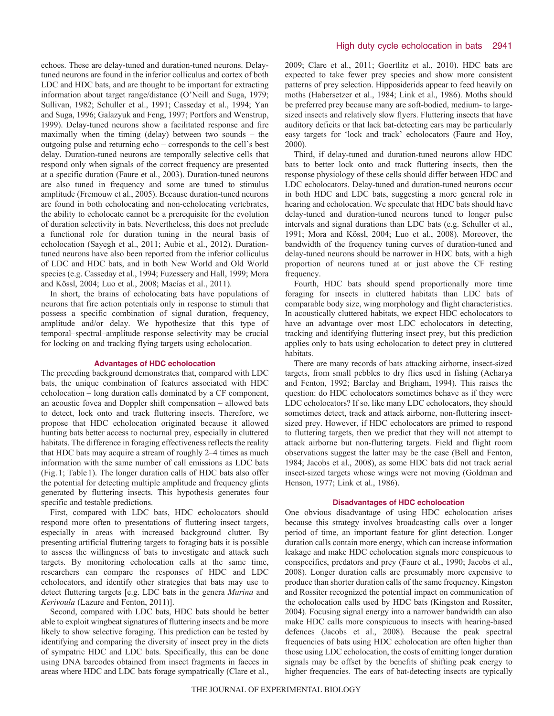echoes. These are delay-tuned and duration-tuned neurons. Delaytuned neurons are found in the inferior colliculus and cortex of both LDC and HDC bats, and are thought to be important for extracting information about target range/distance (O'Neill and Suga, 1979; Sullivan, 1982; Schuller et al., 1991; Casseday et al., 1994; Yan and Suga, 1996; Galazyuk and Feng, 1997; Portfors and Wenstrup, 1999). Delay-tuned neurons show a facilitated response and fire maximally when the timing (delay) between two sounds – the outgoing pulse and returning echo – corresponds to the cell's best delay. Duration-tuned neurons are temporally selective cells that respond only when signals of the correct frequency are presented at a specific duration (Faure et al., 2003). Duration-tuned neurons are also tuned in frequency and some are tuned to stimulus amplitude (Fremouw et al., 2005). Because duration-tuned neurons are found in both echolocating and non-echolocating vertebrates, the ability to echolocate cannot be a prerequisite for the evolution of duration selectivity in bats. Nevertheless, this does not preclude a functional role for duration tuning in the neural basis of echolocation (Sayegh et al., 2011; Aubie et al., 2012). Durationtuned neurons have also been reported from the inferior colliculus of LDC and HDC bats, and in both New World and Old World species (e.g. Casseday et al., 1994; Fuzessery and Hall, 1999; Mora and Kössl, 2004; Luo et al., 2008; Macías et al., 2011).

In short, the brains of echolocating bats have populations of neurons that fire action potentials only in response to stimuli that possess a specific combination of signal duration, frequency, amplitude and/or delay. We hypothesize that this type of temporal–spectral–amplitude response selectivity may be crucial for locking on and tracking flying targets using echolocation.

#### **Advantages of HDC echolocation**

The preceding background demonstrates that, compared with LDC bats, the unique combination of features associated with HDC echolocation – long duration calls dominated by a CF component, an acoustic fovea and Doppler shift compensation – allowed bats to detect, lock onto and track fluttering insects. Therefore, we propose that HDC echolocation originated because it allowed hunting bats better access to nocturnal prey, especially in cluttered habitats. The difference in foraging effectiveness reflects the reality that HDC bats may acquire a stream of roughly 2–4 times as much information with the same number of call emissions as LDC bats (Fig.1; Table1). The longer duration calls of HDC bats also offer the potential for detecting multiple amplitude and frequency glints generated by fluttering insects. This hypothesis generates four specific and testable predictions.

First, compared with LDC bats, HDC echolocators should respond more often to presentations of fluttering insect targets, especially in areas with increased background clutter. By presenting artificial fluttering targets to foraging bats it is possible to assess the willingness of bats to investigate and attack such targets. By monitoring echolocation calls at the same time, researchers can compare the responses of HDC and LDC echolocators, and identify other strategies that bats may use to detect fluttering targets [e.g. LDC bats in the genera *Murina* and *Kerivoula* (Lazure and Fenton, 2011)].

Second, compared with LDC bats, HDC bats should be better able to exploit wingbeat signatures of fluttering insects and be more likely to show selective foraging. This prediction can be tested by identifying and comparing the diversity of insect prey in the diets of sympatric HDC and LDC bats. Specifically, this can be done using DNA barcodes obtained from insect fragments in faeces in areas where HDC and LDC bats forage sympatrically (Clare et al., 2009; Clare et al., 2011; Goertlitz et al., 2010). HDC bats are expected to take fewer prey species and show more consistent patterns of prey selection. Hipposiderids appear to feed heavily on moths (Habersetzer et al., 1984; Link et al., 1986). Moths should be preferred prey because many are soft-bodied, medium- to largesized insects and relatively slow flyers. Fluttering insects that have auditory deficits or that lack bat-detecting ears may be particularly easy targets for 'lock and track' echolocators (Faure and Hoy, 2000).

Third, if delay-tuned and duration-tuned neurons allow HDC bats to better lock onto and track fluttering insects, then the response physiology of these cells should differ between HDC and LDC echolocators. Delay-tuned and duration-tuned neurons occur in both HDC and LDC bats, suggesting a more general role in hearing and echolocation. We speculate that HDC bats should have delay-tuned and duration-tuned neurons tuned to longer pulse intervals and signal durations than LDC bats (e.g. Schuller et al., 1991; Mora and Kössl, 2004; Luo et al., 2008). Moreover, the bandwidth of the frequency tuning curves of duration-tuned and delay-tuned neurons should be narrower in HDC bats, with a high proportion of neurons tuned at or just above the CF resting frequency.

Fourth, HDC bats should spend proportionally more time foraging for insects in cluttered habitats than LDC bats of comparable body size, wing morphology and flight characteristics. In acoustically cluttered habitats, we expect HDC echolocators to have an advantage over most LDC echolocators in detecting, tracking and identifying fluttering insect prey, but this prediction applies only to bats using echolocation to detect prey in cluttered habitats.

There are many records of bats attacking airborne, insect-sized targets, from small pebbles to dry flies used in fishing (Acharya and Fenton, 1992; Barclay and Brigham, 1994). This raises the question: do HDC echolocators sometimes behave as if they were LDC echolocators? If so, like many LDC echolocators, they should sometimes detect, track and attack airborne, non-fluttering insectsized prey. However, if HDC echolocators are primed to respond to fluttering targets, then we predict that they will not attempt to attack airborne but non-fluttering targets. Field and flight room observations suggest the latter may be the case (Bell and Fenton, 1984; Jacobs et al., 2008), as some HDC bats did not track aerial insect-sized targets whose wings were not moving (Goldman and Henson, 1977; Link et al., 1986).

#### **Disadvantages of HDC echolocation**

One obvious disadvantage of using HDC echolocation arises because this strategy involves broadcasting calls over a longer period of time, an important feature for glint detection. Longer duration calls contain more energy, which can increase information leakage and make HDC echolocation signals more conspicuous to conspecifics, predators and prey (Faure et al., 1990; Jacobs et al., 2008). Longer duration calls are presumably more expensive to produce than shorter duration calls of the same frequency. Kingston and Rossiter recognized the potential impact on communication of the echolocation calls used by HDC bats (Kingston and Rossiter, 2004). Focusing signal energy into a narrower bandwidth can also make HDC calls more conspicuous to insects with hearing-based defences (Jacobs et al., 2008). Because the peak spectral frequencies of bats using HDC echolocation are often higher than those using LDC echolocation, the costs of emitting longer duration signals may be offset by the benefits of shifting peak energy to higher frequencies. The ears of bat-detecting insects are typically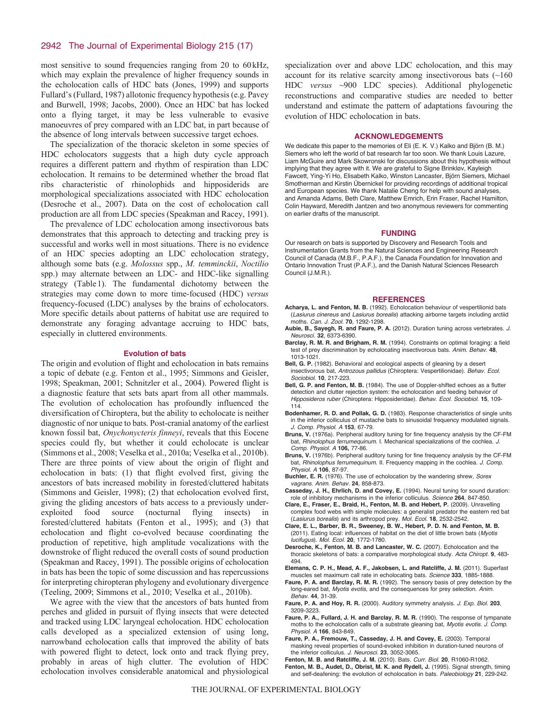most sensitive to sound frequencies ranging from 20 to 60kHz, which may explain the prevalence of higher frequency sounds in the echolocation calls of HDC bats (Jones, 1999) and supports Fullard's (Fullard, 1987) allotonic frequency hypothesis (e.g. Pavey and Burwell, 1998; Jacobs, 2000). Once an HDC bat has locked onto a flying target, it may be less vulnerable to evasive manoeuvres of prey compared with an LDC bat, in part because of the absence of long intervals between successive target echoes.

The specialization of the thoracic skeleton in some species of HDC echolocators suggests that a high duty cycle approach requires a different pattern and rhythm of respiration than LDC echolocation. It remains to be determined whether the broad flat ribs characteristic of rhinolophids and hipposiderids are morphological specializations associated with HDC echolocation (Desroche et al., 2007). Data on the cost of echolocation call production are all from LDC species (Speakman and Racey, 1991).

The prevalence of LDC echolocation among insectivorous bats demonstrates that this approach to detecting and tracking prey is successful and works well in most situations. There is no evidence of an HDC species adopting an LDC echolocation strategy, although some bats (e.g. *Molossus* spp., *M. temminckii*, *Noctilio* spp.) may alternate between an LDC- and HDC-like signalling strategy (Table1). The fundamental dichotomy between the strategies may come down to more time-focused (HDC) *versus* frequency-focused (LDC) analyses by the brains of echolocators. More specific details about patterns of habitat use are required to demonstrate any foraging advantage accruing to HDC bats, especially in cluttered environments.

#### **Evolution of bats**

The origin and evolution of flight and echolocation in bats remains a topic of debate (e.g. Fenton et al., 1995; Simmons and Geisler, 1998; Speakman, 2001; Schnitzler et al., 2004). Powered flight is a diagnostic feature that sets bats apart from all other mammals. The evolution of echolocation has profoundly influenced the diversification of Chiroptera, but the ability to echolocate is neither diagnostic of nor unique to bats. Post-cranial anatomy of the earliest known fossil bat, *Onychonycteris finneyi*, reveals that this Eocene species could fly, but whether it could echolocate is unclear (Simmons et al., 2008; Veselka et al., 2010a; Veselka et al., 2010b). There are three points of view about the origin of flight and echolocation in bats: (1) that flight evolved first, giving the ancestors of bats increased mobility in forested/cluttered habitats (Simmons and Geisler, 1998); (2) that echolocation evolved first, giving the gliding ancestors of bats access to a previously underexploited food source (nocturnal flying insects) in forested/cluttered habitats (Fenton et al., 1995); and (3) that echolocation and flight co-evolved because coordinating the production of repetitive, high amplitude vocalizations with the downstroke of flight reduced the overall costs of sound production (Speakman and Racey, 1991). The possible origins of echolocation in bats has been the topic of some discussion and has repercussions for interpreting chiropteran phylogeny and evolutionary divergence (Teeling, 2009; Simmons et al., 2010; Veselka et al., 2010b).

We agree with the view that the ancestors of bats hunted from perches and glided in pursuit of flying insects that were detected and tracked using LDC laryngeal echolocation. HDC echolocation calls developed as a specialized extension of using long, narrowband echolocation calls that improved the ability of bats with powered flight to detect, lock onto and track flying prey, probably in areas of high clutter. The evolution of HDC echolocation involves considerable anatomical and physiological

specialization over and above LDC echolocation, and this may account for its relative scarcity among insectivorous bats (~160 HDC *versus* ~900 LDC species). Additional phylogenetic reconstructions and comparative studies are needed to better understand and estimate the pattern of adaptations favouring the evolution of HDC echolocation in bats.

#### **ACKNOWLEDGEMENTS**

We dedicate this paper to the memories of Eli (E. K. V.) Kalko and Björn (B. M.) Siemers who left the world of bat research far too soon. We thank Louis Lazure, Liam McGuire and Mark Skowronski for discussions about this hypothesis without implying that they agree with it. We are grateful to Signe Brinkløv, Kayleigh Fawcett, Ying-Yi Ho, Elisabeth Kalko, Winston Lancaster, Björn Siemers, Michael Smotherman and Kirstin Übernickel for providing recordings of additional tropical and European species. We thank Natalie Cheng for help with sound analyses, and Amanda Adams, Beth Clare, Matthew Emrich, Erin Fraser, Rachel Hamilton, Colin Hayward, Meredith Jantzen and two anonymous reviewers for commenting on earlier drafts of the manuscript.

#### **FUNDING**

Our research on bats is supported by Discovery and Research Tools and Instrumentation Grants from the Natural Sciences and Engineering Research Council of Canada (M.B.F., P.A.F.), the Canada Foundation for Innovation and Ontario Innovation Trust (P.A.F.), and the Danish Natural Sciences Research Council (J.M.R.).

#### **REFERENCES**

- **Acharya, L. and Fenton, M. B.** (1992). Echolocation behaviour of vespertilionid bats (*Lasiurus cinereus* and *Lasiurus borealis*) attacking airborne targets including arctiid moths. *Can. J. Zool.* **70**, 1292-1298.
- **Aubie, B., Sayegh, R. and Faure, P. A.** (2012). Duration tuning across vertebrates. *J. Neurosci.* **32**, 6373-6390.
- **Barclay, R. M. R. and Brigham, R. M.** (1994). Constraints on optimal foraging: a field test of prey discrimination by echolocating insectivorous bats. *Anim. Behav.* **48**, 1013-1021.
- **Bell, G. P.** (1982). Behavioral and ecological aspects of gleaning by a desert insectivorous bat, *Antrozous pallidus* (Chiroptera: Vespertilionidae). *Behav. Ecol. Sociobiol.* **10**, 217-223.
- **Bell, G. P. and Fenton, M. B.** (1984). The use of Doppler-shifted echoes as a flutter detection and clutter rejection system: the echolocation and feeding behavior of *Hipposideros ruber* (Chiroptera: Hipposideridae). *Behav. Ecol. Sociobiol.* **15**, 109- 114.
- **Bodenhamer, R. D. and Pollak, G. D.** (1983). Response characteristics of single units in the inferior colliculus of mustache bats to sinusoidal frequency modulated signals. *J. Comp. Physiol. A* **153**, 67-79.
- **Bruns, V.** (1976a). Peripheral auditory tuning for fine frequency analysis by the CF-FM bat, *Rhinolophus ferrumequinum*. I. Mechanical specializations of the cochlea. *J. Comp. Physiol. A* **106,** 77-86.
- **Bruns, V.** (1976b). Peripheral auditory tuning for fine frequency analysis by the CF-FM bat, *Rhinolophus ferrumequinum*. II. Frequency mapping in the cochlea. *J. Comp. Physiol. A* **106**, 87-97.
- **Buchler, E. R.** (1976). The use of echolocation by the wandering shrew, *Sorex vagrans. Anim. Behav.* **24**, 858-873.
- **Casseday, J. H., Ehrlich, D. and Covey, E.** (1994). Neural tuning for sound duration: role of inhibitory mechanisms in the inferior colliculus. *Science* **264**, 847-850.
- **Clare, E., Fraser, E., Braid, H., Fenton, M. B. and Hebert, P.** (2009). Unravelling complex food webs with simple molecules: a generalist predator the eastern red bat (*Lasiurus borealis*) and its arthropod prey. *Mol. Ecol.* **18**, 2532-2542.
- **Clare, E. L., Barber, B. R., Sweeney, B. W., Hebert, P. D. N. and Fenton, M. B.** (2011). Eating local: influences of habitat on the diet of little brown bats (*Myotis lucifugus*). *Mol. Ecol.* **20**, 1772-1780.
- **Desroche, K., Fenton, M. B. and Lancaster, W. C.** (2007). Echolocation and the thoracic skeletons of bats: a comparative morphological study. *Acta Chiropt.* **9**, 483- 494.
- **Elemans, C. P. H., Mead, A. F., Jakobsen, L. and Ratcliffe, J. M.** (2011). Superfast muscles set maximum call rate in echolocating bats. *Science* **333**, 1885-1888.
- **Faure, P. A. and Barclay, R. M. R.** (1992). The sensory basis of prey detection by the long-eared bat, *Myotis evotis*, and the consequences for prey selection. *Anim. Behav.* **44**, 31-39.
- **Faure, P. A. and Hoy, R. R.** (2000). Auditory symmetry analysis. *J. Exp. Biol.* **203**, 3209-3223.
- **Faure, P. A., Fullard, J. H. and Barclay, R. M. R.** (1990). The response of tympanate moths to the echolocation calls of a substrate gleaning bat, *Myotis evotis. J. Comp. Physiol. A* **166**, 843-849.
- **Faure, P. A., Fremouw, T., Casseday, J. H. and Covey, E.** (2003). Temporal masking reveal properties of sound-evoked inhibition in duration-tuned neurons of the inferior colliculus. *J. Neurosci.* **23**, 3052-3065.
- **Fenton, M. B. and Ratcliffe, J. M.** (2010). Bats. *Curr. Biol.* **20**, R1060-R1062.
- **Fenton, M. B., Audet, D., Obrist, M. K. and Rydell, J.** (1995). Signal strength, timing and self-deafening: the evolution of echolocation in bats. *Paleobiology* **21**, 229-242.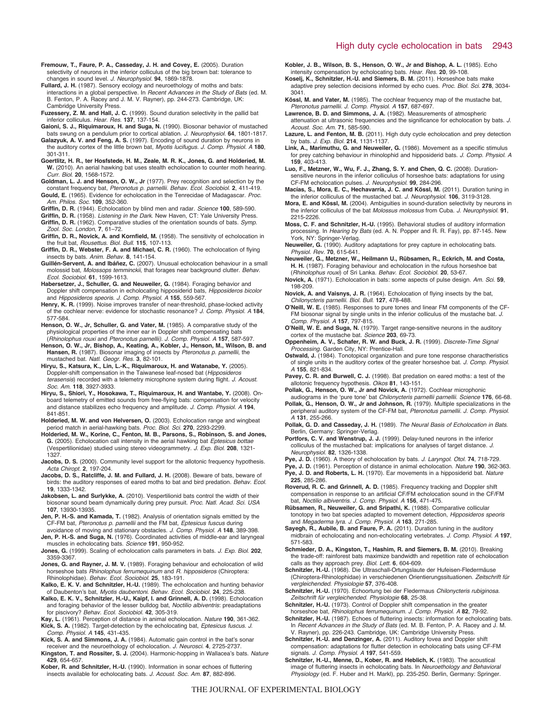- **Fremouw, T., Faure, P. A., Casseday, J. H. and Covey, E.** (2005). Duration selectivity of neurons in the inferior colliculus of the big brown bat: tolerance to changes in sound level. *J. Neurophysiol.* **94**, 1869-1878.
- **Fullard, J. H.** (1987). Sensory ecology and neuroethology of moths and bats: interactions in a global perspective. In *Recent Advances in the Study of Bats* (ed. M. B. Fenton, P. A. Racey and J. M. V. Rayner), pp. 244-273. Cambridge, UK: Cambridge University Press.
- **Fuzessery, Z. M. and Hall, J. C.** (1999). Sound duration selectivity in the pallid bat inferior colliculus. *Hear. Res.* **137**, 137-154.
- **Gaioni, S. J., Riquimaroux, H. and Suga, N.** (1990). Biosonar behavior of mustached bats swung on a pendulum prior to cortical ablation. *J. Neurophysiol.* **64**, 1801-1817.
- **Galazyuk, A. V. and Feng, A. S.** (1997). Encoding of sound duration by neurons in the auditory cortex of the little brown bat, *Myotis lucifugus. J. Comp. Physiol. A* **180**, 301-311.
- **Goertlitz, H. R., ter Hosfstede, H. M., Zeale, M. R. K., Jones, G. and Holderied, M. W.** (2010). An aerial hawking bat uses stealth echolocation to counter moth hearing. *Curr. Biol.* **20**, 1568-1572.
- **Goldman, L. J. and Henson, O. W., Jr** (1977). Prey recognition and selection by the constant frequency bat, *Pteronotus p. parnellii. Behav. Ecol. Sociobiol.* **2**, 411-419.
- **Gould, E.** (1965). Evidence for echolocation in the Tenrecidae of Madagascar. *Proc. Am. Philos. Soc.* **109**, 352-360.
- **Griffin, D. R.** (1944). Echolocation by blind men and radar. *Science* **100**, 589-590. **Griffin, D. R.** (1958). *Listening in the Dark*. New Haven, CT: Yale University Press.
- **Griffin, D. R.** (1962). Comparative studies of the orientation sounds of bats. *Symp.*
- *Zool. Soc. London*, **7**, 61–72.
- **Griffin, D. R., Novick, A. and Kornfield, M.** (1958). The sensitivity of echolocation in the fruit bat, *Rousettus. Biol. Bull.* **115**, 107-113.
- **Griffin, D. R., Webster, F. A. and Michael, C. R.** (1960). The echolocation of flying insects by bats. *Anim. Behav.* **8**, 141-154.
- **Guillén-Servent, A. and Ibáñez, C.** (2007). Unusual echolocation behaviour in a small molossid bat, *Molossops temminckii*, that forages near background clutter. *Behav. Ecol. Sociobiol.* **61**, 1599-1613.
- **Habersetzer, J., Schuller, G. and Neuweiler, G.** (1984). Foraging behavior and Doppler shift compensation in echolocating hipposiderid bats, *Hipposideros bicolor* and *Hipposideros speoris. J. Comp. Physiol. A* **155**, 559-567.
- Henry, K. R. (1999). Noise improves transfer of near-threshold, phase-locked activity of the cochlear nerve: evidence for stochastic resonance? *J. Comp. Physiol. A* **184**, 577-584.
- **Henson, O. W., Jr, Schuller, G. and Vater, M.** (1985). A comparative study of the physiological properties of the inner ear in Doppler shift compensating bats (*Rhinolophus rouxi* and *Pteronotus parnellii). J. Comp. Physiol. A* **157**, 587-597.
- **Henson, O. W., Jr, Bishop, A., Keating, A., Kobler, J., Henson, M., Wilson, B. and Hansen, R.** (1987). Biosonar imaging of insects by *Pteronotus p. parnellii*, the
- mustached bat. *Natl. Geogr. Res.* **3**, 82-101. **Hiryu, S., Katsura, K., Lin, L.-K., Riquimaroux, H. and Watanabe, Y.** (2005). Doppler-shift compensation in the Taiwanese leaf-nosed bat (*Hipposideros terasensis*) recorded with a telemetry microphone system during flight. *J. Acoust. Soc. Am.* **118**, 3927-3933.
- **Hiryu, S., Shiori, Y., Hosokawa, T., Riquimaroux, H. and Wantabe, Y.** (2008). Onboard telemetry of emitted sounds from free-flying bats: compensation for velocity and distance stabilizes echo frequency and amplitude. *J. Comp. Physiol. A* **194**, 841-851.
- **Holderied, M. W. and von Helversen, O.** (2003). Echolocation range and wingbeat period match in aerial-hawking bats. *Proc. Biol. Sci.* **270**, 2293-2299.
- **Holderied, M. W., Korine, C., Fenton, M. B., Parsons, S., Robinson, S. and Jones, G.** (2005). Echolocation call intensity in the aerial hawking bat *Eptesicus bottae* (Vespertilionidae) studied using stereo videogrammetry. *J. Exp. Biol.* **208**, 1321- 1327.
- **Jacobs, D. S.** (2000). Community level support for the allotonic frequency hypothesis. *Acta Chiropt.* **2**, 197-204.
- **Jacobs, D. S., Ratcliffe, J. M. and Fullard, J. H.** (2008). Beware of bats, beware of birds: the auditory responses of eared moths to bat and bird predation. *Behav. Ecol.* **19**, 1333-1342.
- **Jakobsen, L. and Surlykke, A.** (2010). Vespertilionid bats control the width of their biosonar sound beam dynamically during prey pursuit. *Proc. Natl. Acad. Sci. USA* **107**, 13930-13935.
- **Jen, P. H.-S. and Kamada, T.** (1982). Analysis of orientation signals emitted by the CF-FM bat, *Pteronotus p. parnellii* and the FM bat, *Eptesicus fuscus* during avoidance of moving and stationary obstacles. *J. Comp. Physiol. A* **148**, 389-398.
- **Jen, P. H.-S. and Suga, N.** (1976). Coordinated activities of middle-ear and laryngeal muscles in echolocating bats. *Science* **191**, 950-952.
- **Jones, G.** (1999). Scaling of echolocation calls parameters in bats. *J. Exp. Biol.* **202**, 3359-3367.
- **Jones, G. and Rayner, J. M. V.** (1989). Foraging behaviour and echolocation of wild horseshoe bats *Rhinolophus ferrumequinum* and *R. hipposideros* (Chiroptera: Rhinolophidae). *Behav. Ecol. Sociobiol.* **25**, 183-191.
- **Kalko, E. K. V. and Schnitzler, H.-U.** (1989). The echolocation and hunting behavior of Daubenton's bat, *Myotis daubentoni. Behav. Ecol. Sociobiol.* **24**, 225-238.
- **Kalko, E. K. V., Schnitzler, H.-U., Kaipf, I. and Grinnell, A. D.** (1998). Echolocation and foraging behavior of the lesser bulldog bat, *Noctilio albiventris*: preadaptations for piscivory? *Behav. Ecol. Sociobiol.* **42**, 305-319.
- **Kay, L.** (1961). Perception of distance in animal echolocation. *Nature* **190**, 361-362. **Kick, S. A.** (1982). Target-detection by the echolocating bat, *Eptesicus fuscus. J. Comp. Physiol. A* **145**, 431-435.
- **Kick, S. A. and Simmons, J. A.** (1984). Automatic gain control in the bat's sonar
- receiver and the neuroethology of echolocation. *J. Neurosci.* **4**, 2725-2737. **Kingston, T. and Rossiter, S. J.** (2004). Harmonic-hopping in Wallacea's bats. *Nature* **429**, 654-657.
- **Kober, R. and Schnitzler, H.-U.** (1990). Information in sonar echoes of fluttering insects available for echolocating bats. *J. Acoust. Soc. Am.* **87**, 882-896.
- **Kobler, J. B., Wilson, B. S., Henson, O. W., Jr and Bishop, A. L.** (1985). Echo intensity compensation by echolocating bats. *Hear. Res.* **20**, 99-108.
- **Koselj, K., Schnitzler, H.-U. and Siemers, B. M.** (2011). Horseshoe bats make adaptive prey selection decisions informed by echo cues. *Proc. Biol. Sci.* **278**, 3034- 3041.
- **Kössl, M. and Vater, M.** (1985). The cochlear frequency map of the mustache bat, *Pteronotus parnellii. J. Comp. Physiol. A* **157**, 687-697.
- **Lawrence, B. D. and Simmons, J. A.** (1982). Measurements of atmospheric attenuation at ultrasonic frequencies and the significance for echolocation by bats. *J. Acoust. Soc. Am.* **71**, 585-590.
- **Lazure, L. and Fenton, M. B.** (2011). High duty cycle echolocation and prey detection by bats. *J. Exp. Biol.* **214**, 1131-1137.
- **Link, A., Marimuthu, G. and Neuweiler, G.** (1986). Movement as a specific stimulus for prey catching behaviour in rhinolophid and hipposiderid bats. *J. Comp. Physiol. A* **159**, 403-413.
- **Luo, F., Metzner, W., Wu, F. J., Zhang, S. Y. and Chen, Q. C.** (2008). Durationsensitive neurons in the inferior colliculus of horseshoe bats: adaptations for using CF-FM echolocation pulses. *J. Neurophysiol.* **99**, 284-296.
- **Macías, S., Mora, E. C., Hechavarría, J. C. and Kössl, M.** (2011). Duration tuning in the inferior colliculus of the mustached bat. *J. Neurophysiol.* **106**, 3119-3128.
- **Mora, E. and Kössl, M.** (2004). Ambiguities in sound-duration selectivity by neurons in the inferior colliculus of the bat *Molossus molossus* from Cuba. *J. Neurophysiol.* **91**, 2215-2226.
- **Moss, C. F. and Schnitzler, H.-U.** (1995). Behavioral studies of auditory information processing. In *Hearing by Bats* (ed. A. N. Popper and R. R. Fay), pp. 87-145. New York, NY: Springer-Verlag.
- **Neuweiler, G.** (1990). Auditory adaptations for prey capture in echolocating bats. *Physiol. Rev.* **70**, 615-641.
- **Neuweiler, G., Metzner, W., Heilmann U., Rübsamen, R., Eckrich, M. and Costa, H. H.** (1987). Foraging behaviour and echolocation in the rufous horseshoe bat (*Rhinolophus rouxi*) of Sri Lanka. *Behav. Ecol. Sociobiol.* **20**, 53-67.
- **Novick, A.** (1971). Echolocation in bats: some aspects of pulse design. *Am. Sci.* **59**, 198-209.
- **Novick, A. and Vaisnys, J. R.** (1964). Echolocation of flying insects by the bat, *Chilonycteris parnellii. Biol. Bull.* **127**, 478-488.
- **O'Neill, W. E.** (1985). Responses to pure tones and linear FM components of the CF-FM biosonar signal by single units in the inferior colliculus of the mustache bat. *J. Comp. Physiol. A* **157**, 797-815.
- **O'Neill, W. E. and Suga, N.** (1979). Target range-sensitive neurons in the auditory cortex of the mustache bat. *Science* **203**, 69-73.
- **Oppenheim, A. V., Schafer, R. W. and Buck, J. R.** (1999). *Discrete-Time Signal Processing*. Garden City, NY: Prentice-Hall.
- **Ostwald, J.** (1984). Tonotopical organization and pure tone response charactheristics of single units in the auditory cortex of the greater horseshoe bat. *J. Comp. Physiol. A* **155**, 821-834.
- **Pavey, C. R. and Burwell, C. J.** (1998). Bat predation on eared moths: a test of the allotonic frequency hypothesis. *Oikos* **81**, 143-151.
- **Pollak, G., Henson, O. W., Jr and Novick, A.** (1972). Cochlear microphonic
- audiograms in the ʻpure tone' bat *Chilonycteris parnellii parnellii. Science* **176**, 66-68. **Pollak, G., Henson, O. W., Jr and Johnson, R.** (1979). Multiple specializations in the peripheral auditory system of the CF-FM bat, *Pteronotus parnellii. J. Comp. Physiol. A* **131**, 255-266.
- **Pollak, G. D. and Casseday, J. H.** (1989). *The Neural Basis of Echolocation in Bats*. Berlin, Germany: Springer-Verlag.
- **Portfors, C. V. and Wenstrup, J. J.** (1999). Delay-tuned neurons in the inferior colliculus of the mustached bat: implications for analyses of target distance. *J. Neurophysiol.* **82**, 1326-1338.
- **Pye, J. D.** (1960). A theory of echolocation by bats. *J. Laryngol. Otol.* **74**, 718-729.
- **Pye, J. D.** (1961). Perception of distance in animal echolocation. *Nature* **190**, 362-363.

**Pye, J. D. and Roberts, L. H.** (1970). Ear movements in a hipposiderid bat. *Nature* **225**, 285-286.

**Roverud, R. C. and Grinnell, A. D.** (1985). Frequency tracking and Doppler shift compensation in response to an artificial CF/FM echolocation sound in the CF/FM bat, *Noctilio albiventris. J. Comp. Physiol. A* **156**, 471-475.

**Rübsamen, R., Neuweiler, G. and Sripathi, K.** (1988). Comparative collicular tonotopy in two bat species adapted to movement detection, *Hipposideros speoris* and *Megaderma lyra*. *J. Comp. Physiol. A* **163**, 271-285.

- **Sayegh, R., Aubile, B. and Faure, P. A.** (2011). Duration tuning in the auditory midbrain of echolocating and non-echolocating vertebrates. *J. Comp. Physiol. A* **197**, 571-583.
- **Schmieder, D. A., Kingston, T., Hashim, R. and Siemers, B. M.** (2010). Breaking the trade-off: rainforest bats maximize bandwidth and repetition rate of echolocation calls as they approach prey. *Biol. Lett.* **6**, 604-609.
- **Schnitzler, H.-U.** (1968). Die Ultraschall-Ortungslaute der Hufeisen-Fledermäuse (Chiroptera-Rhinolophidae) in verschiedenen Orientierungssituationen. *Zeitschrift für vergleichended*. *Physiologie* **57**, 376-408.
- **Schnitzler, H.-U.** (1970). Echoortung bei der Fledermaus *Chilonycteris rubiginosa. Zeitschrift für vergleichended*. *Physiologie* **68**, 25-38.
- Schnitzler, H.-U. (1973). Control of Doppler shift compensation in the greater horseshoe bat, *Rhinolophus ferrumequinum. J. Comp. Physiol. A* **82**, 79-92.
- **Schnitzler, H.-U.** (1987). Echoes of fluttering insects: information for echolocating bats. In *Recent Advances in the Study of Bats* (ed. M. B. Fenton, P. A. Racey and J. M. V. Rayner), pp. 226-243. Cambridge, UK: Cambridge University Press.
- **Schnitzler, H.-U. and Denzinger, A.** (2011). Auditory fovea and Doppler shift compensation: adaptations for flutter detection in echolocating bats using CF-FM signals. *J. Comp. Physiol. A* **197**, 541-559.
- **Schnitzler, H.-U., Menne, D., Kober, R. and Heblich, K.** (1983). The acoustical image of fluttering insects in echolocating bats. In *Neuroethology and Behavioral Physiology* (ed. F. Huber and H. Markl), pp. 235-250. Berlin, Germany: Springer.